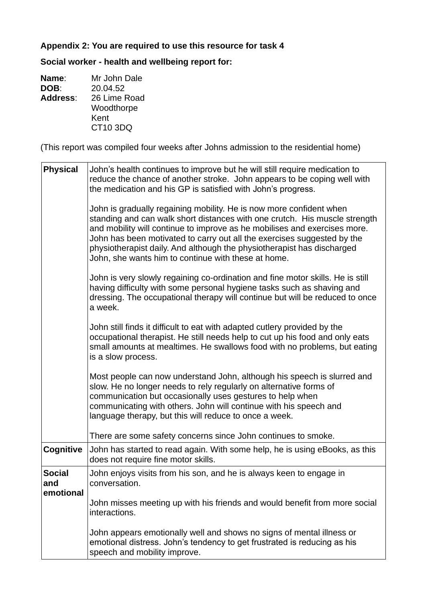## **Appendix 2: You are required to use this resource for task 4**

**Social worker - health and wellbeing report for:**

| Name:           | Mr John Dale |
|-----------------|--------------|
| DOB:            | 20.04.52     |
| <b>Address:</b> | 26 Lime Road |
|                 | Woodthorpe   |
|                 | Kent         |
|                 | CT10 3DQ     |

(This report was compiled four weeks after Johns admission to the residential home)

| <b>Physical</b>                   | John's health continues to improve but he will still require medication to<br>reduce the chance of another stroke. John appears to be coping well with<br>the medication and his GP is satisfied with John's progress.<br>John is gradually regaining mobility. He is now more confident when<br>standing and can walk short distances with one crutch. His muscle strength<br>and mobility will continue to improve as he mobilises and exercises more.<br>John has been motivated to carry out all the exercises suggested by the<br>physiotherapist daily. And although the physiotherapist has discharged<br>John, she wants him to continue with these at home.<br>John is very slowly regaining co-ordination and fine motor skills. He is still<br>having difficulty with some personal hygiene tasks such as shaving and<br>dressing. The occupational therapy will continue but will be reduced to once<br>a week.<br>John still finds it difficult to eat with adapted cutlery provided by the<br>occupational therapist. He still needs help to cut up his food and only eats<br>small amounts at mealtimes. He swallows food with no problems, but eating<br>is a slow process.<br>Most people can now understand John, although his speech is slurred and<br>slow. He no longer needs to rely regularly on alternative forms of<br>communication but occasionally uses gestures to help when<br>communicating with others. John will continue with his speech and<br>language therapy, but this will reduce to once a week. |
|-----------------------------------|------------------------------------------------------------------------------------------------------------------------------------------------------------------------------------------------------------------------------------------------------------------------------------------------------------------------------------------------------------------------------------------------------------------------------------------------------------------------------------------------------------------------------------------------------------------------------------------------------------------------------------------------------------------------------------------------------------------------------------------------------------------------------------------------------------------------------------------------------------------------------------------------------------------------------------------------------------------------------------------------------------------------------------------------------------------------------------------------------------------------------------------------------------------------------------------------------------------------------------------------------------------------------------------------------------------------------------------------------------------------------------------------------------------------------------------------------------------------------------------------------------------------------------------|
|                                   | There are some safety concerns since John continues to smoke.                                                                                                                                                                                                                                                                                                                                                                                                                                                                                                                                                                                                                                                                                                                                                                                                                                                                                                                                                                                                                                                                                                                                                                                                                                                                                                                                                                                                                                                                            |
| <b>Cognitive</b>                  | John has started to read again. With some help, he is using eBooks, as this<br>does not require fine motor skills.                                                                                                                                                                                                                                                                                                                                                                                                                                                                                                                                                                                                                                                                                                                                                                                                                                                                                                                                                                                                                                                                                                                                                                                                                                                                                                                                                                                                                       |
| <b>Social</b><br>and<br>emotional | John enjoys visits from his son, and he is always keen to engage in<br>conversation.<br>John misses meeting up with his friends and would benefit from more social<br>interactions.<br>John appears emotionally well and shows no signs of mental illness or<br>emotional distress. John's tendency to get frustrated is reducing as his<br>speech and mobility improve.                                                                                                                                                                                                                                                                                                                                                                                                                                                                                                                                                                                                                                                                                                                                                                                                                                                                                                                                                                                                                                                                                                                                                                 |